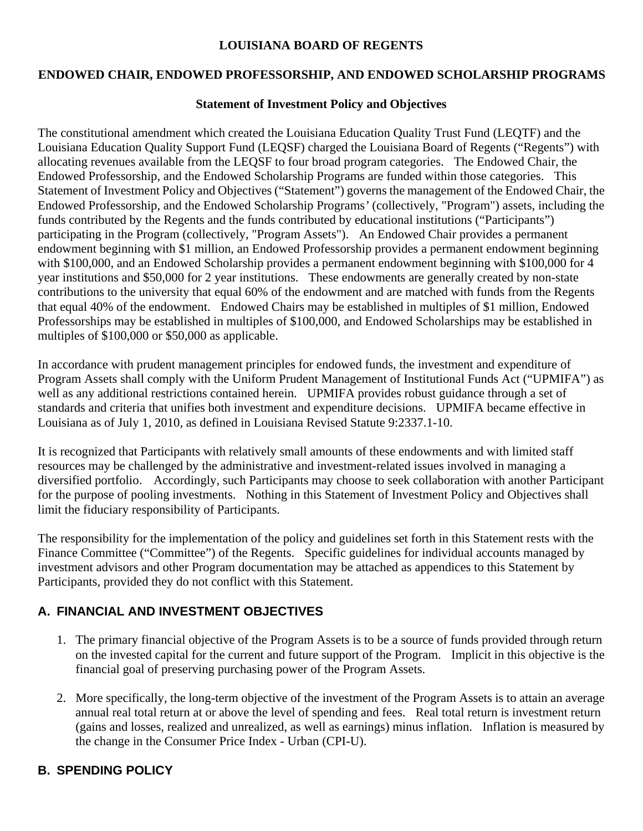#### **LOUISIANA BOARD OF REGENTS**

#### **ENDOWED CHAIR, ENDOWED PROFESSORSHIP, AND ENDOWED SCHOLARSHIP PROGRAMS**

#### **Statement of Investment Policy and Objectives**

The constitutional amendment which created the Louisiana Education Quality Trust Fund (LEQTF) and the Louisiana Education Quality Support Fund (LEQSF) charged the Louisiana Board of Regents ("Regents") with allocating revenues available from the LEQSF to four broad program categories. The Endowed Chair, the Endowed Professorship, and the Endowed Scholarship Programs are funded within those categories. This Statement of Investment Policy and Objectives ("Statement") governs the management of the Endowed Chair, the Endowed Professorship, and the Endowed Scholarship Programs*'* (collectively, "Program") assets, including the funds contributed by the Regents and the funds contributed by educational institutions ("Participants") participating in the Program (collectively, "Program Assets"). An Endowed Chair provides a permanent endowment beginning with \$1 million, an Endowed Professorship provides a permanent endowment beginning with \$100,000, and an Endowed Scholarship provides a permanent endowment beginning with \$100,000 for 4 year institutions and \$50,000 for 2 year institutions. These endowments are generally created by non-state contributions to the university that equal 60% of the endowment and are matched with funds from the Regents that equal 40% of the endowment. Endowed Chairs may be established in multiples of \$1 million, Endowed Professorships may be established in multiples of \$100,000, and Endowed Scholarships may be established in multiples of \$100,000 or \$50,000 as applicable.

In accordance with prudent management principles for endowed funds, the investment and expenditure of Program Assets shall comply with the Uniform Prudent Management of Institutional Funds Act ("UPMIFA") as well as any additional restrictions contained herein. UPMIFA provides robust guidance through a set of standards and criteria that unifies both investment and expenditure decisions. UPMIFA became effective in Louisiana as of July 1, 2010, as defined in Louisiana Revised Statute 9:2337.1-10.

It is recognized that Participants with relatively small amounts of these endowments and with limited staff resources may be challenged by the administrative and investment-related issues involved in managing a diversified portfolio. Accordingly, such Participants may choose to seek collaboration with another Participant for the purpose of pooling investments. Nothing in this Statement of Investment Policy and Objectives shall limit the fiduciary responsibility of Participants.

The responsibility for the implementation of the policy and guidelines set forth in this Statement rests with the Finance Committee ("Committee") of the Regents. Specific guidelines for individual accounts managed by investment advisors and other Program documentation may be attached as appendices to this Statement by Participants, provided they do not conflict with this Statement.

## **A. FINANCIAL AND INVESTMENT OBJECTIVES**

- 1. The primary financial objective of the Program Assets is to be a source of funds provided through return on the invested capital for the current and future support of the Program. Implicit in this objective is the financial goal of preserving purchasing power of the Program Assets.
- 2. More specifically, the long-term objective of the investment of the Program Assets is to attain an average annual real total return at or above the level of spending and fees. Real total return is investment return (gains and losses, realized and unrealized, as well as earnings) minus inflation. Inflation is measured by the change in the Consumer Price Index - Urban (CPI-U).

## **B. SPENDING POLICY**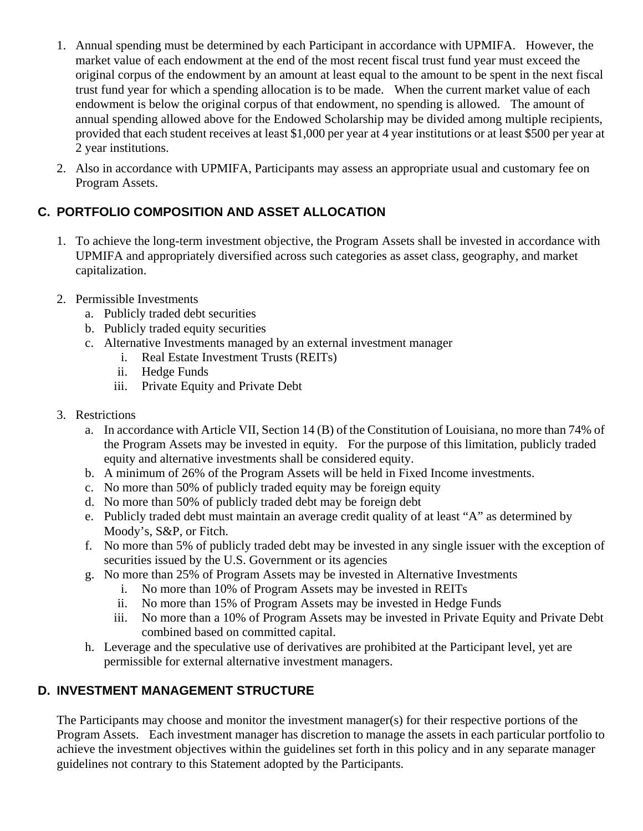- 1. Annual spending must be determined by each Participant in accordance with UPMIFA. However, the market value of each endowment at the end of the most recent fiscal trust fund year must exceed the original corpus of the endowment by an amount at least equal to the amount to be spent in the next fiscal trust fund year for which a spending allocation is to be made. When the current market value of each endowment is below the original corpus of that endowment, no spending is allowed. The amount of annual spending allowed above for the Endowed Scholarship may be divided among multiple recipients, provided that each student receives at least \$1,000 per year at 4 year institutions or at least \$500 per year at 2 year institutions.
- 2. Also in accordance with UPMIFA, Participants may assess an appropriate usual and customary fee on Program Assets.

# **C. PORTFOLIO COMPOSITION AND ASSET ALLOCATION**

- 1. To achieve the long-term investment objective, the Program Assets shall be invested in accordance with UPMIFA and appropriately diversified across such categories as asset class, geography, and market capitalization.
- 2. Permissible Investments
	- a. Publicly traded debt securities
	- b. Publicly traded equity securities
	- c. Alternative Investments managed by an external investment manager
		- i. Real Estate Investment Trusts (REITs)
			- ii. Hedge Funds
		- iii. Private Equity and Private Debt
- 3. Restrictions
	- a. In accordance with Article VII, Section 14 (B) of the Constitution of Louisiana, no more than 74% of the Program Assets may be invested in equity. For the purpose of this limitation, publicly traded equity and alternative investments shall be considered equity.
	- b. A minimum of 26% of the Program Assets will be held in Fixed Income investments.
	- c. No more than 50% of publicly traded equity may be foreign equity
	- d. No more than 50% of publicly traded debt may be foreign debt
	- e. Publicly traded debt must maintain an average credit quality of at least "A" as determined by Moody's, S&P, or Fitch.
	- f. No more than 5% of publicly traded debt may be invested in any single issuer with the exception of securities issued by the U.S. Government or its agencies
	- g. No more than 25% of Program Assets may be invested in Alternative Investments
		- i. No more than 10% of Program Assets may be invested in REITs
		- ii. No more than 15% of Program Assets may be invested in Hedge Funds
		- iii. No more than a 10% of Program Assets may be invested in Private Equity and Private Debt combined based on committed capital.
	- h. Leverage and the speculative use of derivatives are prohibited at the Participant level, yet are permissible for external alternative investment managers.

## **D. INVESTMENT MANAGEMENT STRUCTURE**

The Participants may choose and monitor the investment manager(s) for their respective portions of the Program Assets. Each investment manager has discretion to manage the assets in each particular portfolio to achieve the investment objectives within the guidelines set forth in this policy and in any separate manager guidelines not contrary to this Statement adopted by the Participants.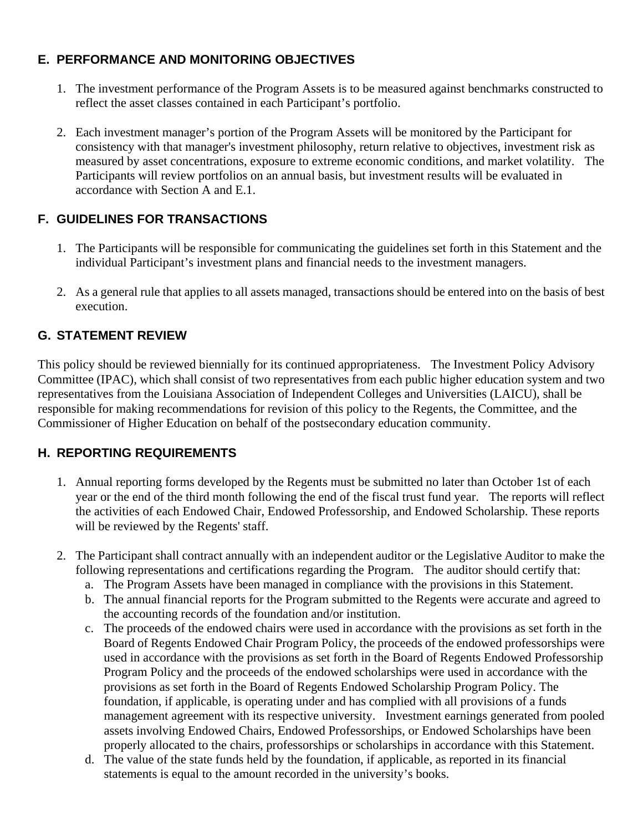## **E. PERFORMANCE AND MONITORING OBJECTIVES**

- 1. The investment performance of the Program Assets is to be measured against benchmarks constructed to reflect the asset classes contained in each Participant's portfolio.
- 2. Each investment manager's portion of the Program Assets will be monitored by the Participant for consistency with that manager's investment philosophy, return relative to objectives, investment risk as measured by asset concentrations, exposure to extreme economic conditions, and market volatility. The Participants will review portfolios on an annual basis, but investment results will be evaluated in accordance with Section A and E.1.

# **F. GUIDELINES FOR TRANSACTIONS**

- 1. The Participants will be responsible for communicating the guidelines set forth in this Statement and the individual Participant's investment plans and financial needs to the investment managers.
- 2. As a general rule that applies to all assets managed, transactions should be entered into on the basis of best execution.

#### **G. STATEMENT REVIEW**

This policy should be reviewed biennially for its continued appropriateness. The Investment Policy Advisory Committee (IPAC), which shall consist of two representatives from each public higher education system and two representatives from the Louisiana Association of Independent Colleges and Universities (LAICU), shall be responsible for making recommendations for revision of this policy to the Regents, the Committee, and the Commissioner of Higher Education on behalf of the postsecondary education community.

## **H. REPORTING REQUIREMENTS**

- 1. Annual reporting forms developed by the Regents must be submitted no later than October 1st of each year or the end of the third month following the end of the fiscal trust fund year. The reports will reflect the activities of each Endowed Chair, Endowed Professorship, and Endowed Scholarship. These reports will be reviewed by the Regents' staff.
- 2. The Participant shall contract annually with an independent auditor or the Legislative Auditor to make the following representations and certifications regarding the Program. The auditor should certify that:
	- a. The Program Assets have been managed in compliance with the provisions in this Statement.
	- b. The annual financial reports for the Program submitted to the Regents were accurate and agreed to the accounting records of the foundation and/or institution.
	- c. The proceeds of the endowed chairs were used in accordance with the provisions as set forth in the Board of Regents Endowed Chair Program Policy, the proceeds of the endowed professorships were used in accordance with the provisions as set forth in the Board of Regents Endowed Professorship Program Policy and the proceeds of the endowed scholarships were used in accordance with the provisions as set forth in the Board of Regents Endowed Scholarship Program Policy. The foundation, if applicable, is operating under and has complied with all provisions of a funds management agreement with its respective university. Investment earnings generated from pooled assets involving Endowed Chairs, Endowed Professorships, or Endowed Scholarships have been properly allocated to the chairs, professorships or scholarships in accordance with this Statement.
	- d. The value of the state funds held by the foundation, if applicable, as reported in its financial statements is equal to the amount recorded in the university's books.